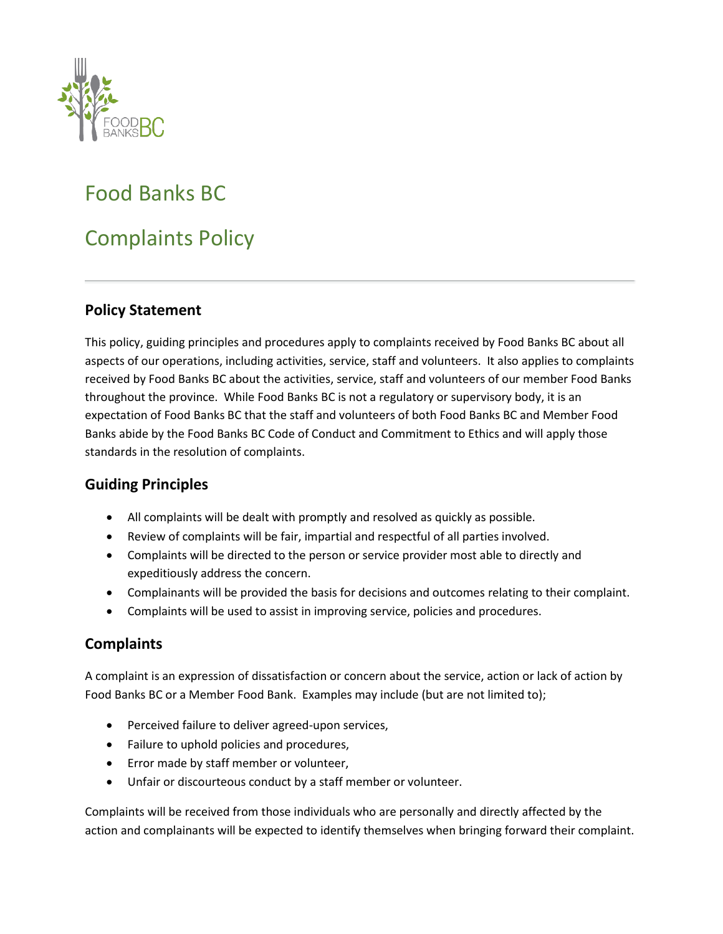

# Food Banks BC

# Complaints Policy

### **Policy Statement**

This policy, guiding principles and procedures apply to complaints received by Food Banks BC about all aspects of our operations, including activities, service, staff and volunteers. It also applies to complaints received by Food Banks BC about the activities, service, staff and volunteers of our member Food Banks throughout the province. While Food Banks BC is not a regulatory or supervisory body, it is an expectation of Food Banks BC that the staff and volunteers of both Food Banks BC and Member Food Banks abide by the Food Banks BC Code of Conduct and Commitment to Ethics and will apply those standards in the resolution of complaints.

#### **Guiding Principles**

- All complaints will be dealt with promptly and resolved as quickly as possible.
- Review of complaints will be fair, impartial and respectful of all parties involved.
- Complaints will be directed to the person or service provider most able to directly and expeditiously address the concern.
- Complainants will be provided the basis for decisions and outcomes relating to their complaint.
- Complaints will be used to assist in improving service, policies and procedures.

#### **Complaints**

A complaint is an expression of dissatisfaction or concern about the service, action or lack of action by Food Banks BC or a Member Food Bank. Examples may include (but are not limited to);

- Perceived failure to deliver agreed-upon services,
- Failure to uphold policies and procedures,
- Error made by staff member or volunteer,
- Unfair or discourteous conduct by a staff member or volunteer.

Complaints will be received from those individuals who are personally and directly affected by the action and complainants will be expected to identify themselves when bringing forward their complaint.